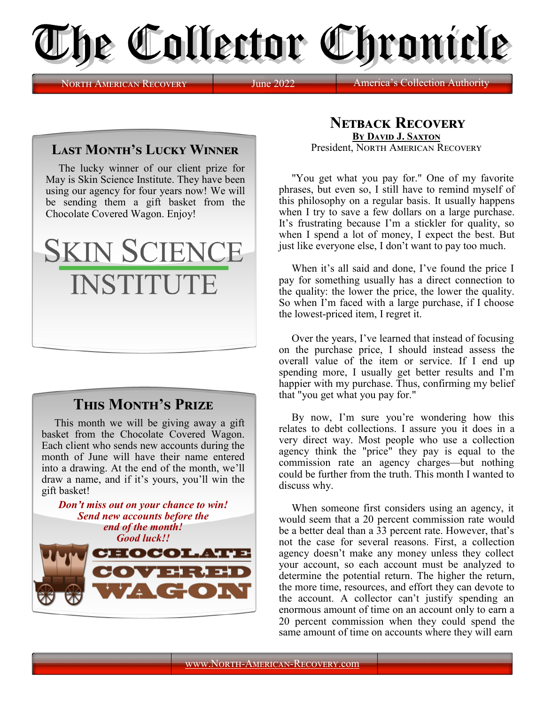

North American Recovery June 2022 America

## **Last Month's Lucky Winner**

The lucky winner of our client prize for May is Skin Science Institute. They have been using our agency for four years now! We will be sending them a gift basket from the Chocolate Covered Wagon. Enjoy!



## **This Month's Prize**

This month we will be giving away a gift basket from the Chocolate Covered Wagon. Each client who sends new accounts during the month of June will have their name entered into a drawing. At the end of the month, we'll draw a name, and if it's yours, you'll win the gift basket!



## **Netback Recovery By David J. Saxton** President, NORTH AMERICAN RECOVERY

"You get what you pay for." One of my favorite phrases, but even so, I still have to remind myself of this philosophy on a regular basis. It usually happens when I try to save a few dollars on a large purchase. It's frustrating because I'm a stickler for quality, so when I spend a lot of money, I expect the best. But just like everyone else, I don't want to pay too much.

When it's all said and done, I've found the price I pay for something usually has a direct connection to the quality: the lower the price, the lower the quality. So when I'm faced with a large purchase, if I choose the lowest-priced item, I regret it.

Over the years, I've learned that instead of focusing on the purchase price, I should instead assess the overall value of the item or service. If I end up spending more, I usually get better results and I'm happier with my purchase. Thus, confirming my belief that "you get what you pay for."

By now, I'm sure you're wondering how this relates to debt collections. I assure you it does in a very direct way. Most people who use a collection agency think the "price" they pay is equal to the commission rate an agency charges—but nothing could be further from the truth. This month I wanted to discuss why.

When someone first considers using an agency, it would seem that a 20 percent commission rate would be a better deal than a 33 percent rate. However, that's not the case for several reasons. First, a collection agency doesn't make any money unless they collect your account, so each account must be analyzed to determine the potential return. The higher the return, the more time, resources, and effort they can devote to the account. A collector can't justify spending an enormous amount of time on an account only to earn a 20 percent commission when they could spend the same amount of time on accounts where they will earn